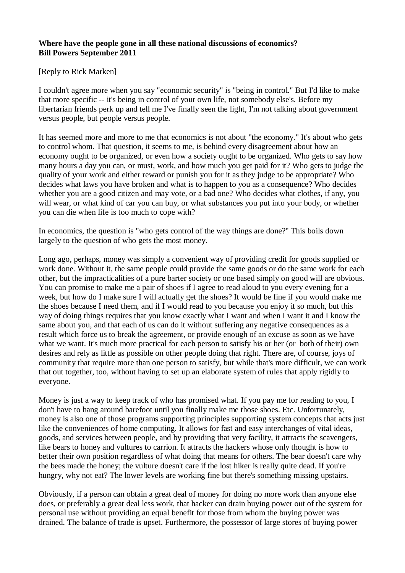## **Where have the people gone in all these national discussions of economics? Bill Powers September 2011**

[Reply to Rick Marken]

I couldn't agree more when you say "economic security" is "being in control." But I'd like to make that more specific -- it's being in control of your own life, not somebody else's. Before my libertarian friends perk up and tell me I've finally seen the light, I'm not talking about government versus people, but people versus people.

It has seemed more and more to me that economics is not about "the economy." It's about who gets to control whom. That question, it seems to me, is behind every disagreement about how an economy ought to be organized, or even how a society ought to be organized. Who gets to say how many hours a day you can, or must, work, and how much you get paid for it? Who gets to judge the quality of your work and either reward or punish you for it as they judge to be appropriate? Who decides what laws you have broken and what is to happen to you as a consequence? Who decides whether you are a good citizen and may vote, or a bad one? Who decides what clothes, if any, you will wear, or what kind of car you can buy, or what substances you put into your body, or whether you can die when life is too much to cope with?

In economics, the question is "who gets control of the way things are done?" This boils down largely to the question of who gets the most money.

Long ago, perhaps, money was simply a convenient way of providing credit for goods supplied or work done. Without it, the same people could provide the same goods or do the same work for each other, but the impracticalities of a pure barter society or one based simply on good will are obvious. You can promise to make me a pair of shoes if I agree to read aloud to you every evening for a week, but how do I make sure I will actually get the shoes? It would be fine if you would make me the shoes because I need them, and if I would read to you because you enjoy it so much, but this way of doing things requires that you know exactly what I want and when I want it and I know the same about you, and that each of us can do it without suffering any negative consequences as a result which force us to break the agreement, or provide enough of an excuse as soon as we have what we want. It's much more practical for each person to satisfy his or her (or both of their) own desires and rely as little as possible on other people doing that right. There are, of course, joys of community that require more than one person to satisfy, but while that's more difficult, we can work that out together, too, without having to set up an elaborate system of rules that apply rigidly to everyone.

Money is just a way to keep track of who has promised what. If you pay me for reading to you, I don't have to hang around barefoot until you finally make me those shoes. Etc. Unfortunately, money is also one of those programs supporting principles supporting system concepts that acts just like the conveniences of home computing. It allows for fast and easy interchanges of vital ideas, goods, and services between people, and by providing that very facility, it attracts the scavengers, like bears to honey and vultures to carrion. It attracts the hackers whose only thought is how to better their own position regardless of what doing that means for others. The bear doesn't care why the bees made the honey; the vulture doesn't care if the lost hiker is really quite dead. If you're hungry, why not eat? The lower levels are working fine but there's something missing upstairs.

Obviously, if a person can obtain a great deal of money for doing no more work than anyone else does, or preferably a great deal less work, that hacker can drain buying power out of the system for personal use without providing an equal benefit for those from whom the buying power was drained. The balance of trade is upset. Furthermore, the possessor of large stores of buying power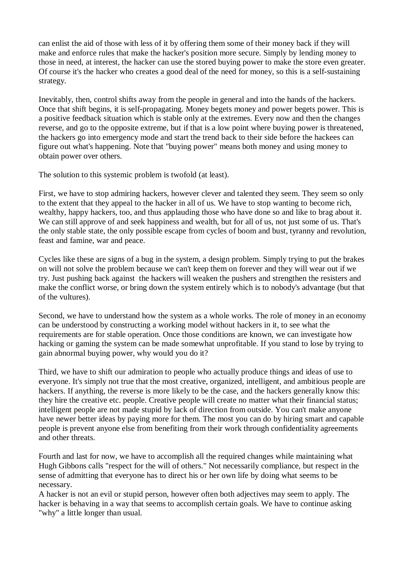can enlist the aid of those with less of it by offering them some of their money back if they will make and enforce rules that make the hacker's position more secure. Simply by lending money to those in need, at interest, the hacker can use the stored buying power to make the store even greater. Of course it's the hacker who creates a good deal of the need for money, so this is a self-sustaining strategy.

Inevitably, then, control shifts away from the people in general and into the hands of the hackers. Once that shift begins, it is self-propagating. Money begets money and power begets power. This is a positive feedback situation which is stable only at the extremes. Every now and then the changes reverse, and go to the opposite extreme, but if that is a low point where buying power is threatened, the hackers go into emergency mode and start the trend back to their side before the hackees can figure out what's happening. Note that "buying power" means both money and using money to obtain power over others.

The solution to this systemic problem is twofold (at least).

First, we have to stop admiring hackers, however clever and talented they seem. They seem so only to the extent that they appeal to the hacker in all of us. We have to stop wanting to become rich, wealthy, happy hackers, too, and thus applauding those who have done so and like to brag about it. We can still approve of and seek happiness and wealth, but for all of us, not just some of us. That's the only stable state, the only possible escape from cycles of boom and bust, tyranny and revolution, feast and famine, war and peace.

Cycles like these are signs of a bug in the system, a design problem. Simply trying to put the brakes on will not solve the problem because we can't keep them on forever and they will wear out if we try. Just pushing back against the hackers will weaken the pushers and strengthen the resisters and make the conflict worse, or bring down the system entirely which is to nobody's advantage (but that of the vultures).

Second, we have to understand how the system as a whole works. The role of money in an economy can be understood by constructing a working model without hackers in it, to see what the requirements are for stable operation. Once those conditions are known, we can investigate how hacking or gaming the system can be made somewhat unprofitable. If you stand to lose by trying to gain abnormal buying power, why would you do it?

Third, we have to shift our admiration to people who actually produce things and ideas of use to everyone. It's simply not true that the most creative, organized, intelligent, and ambitious people are hackers. If anything, the reverse is more likely to be the case, and the hackers generally know this: they hire the creative etc. people. Creative people will create no matter what their financial status; intelligent people are not made stupid by lack of direction from outside. You can't make anyone have newer better ideas by paying more for them. The most you can do by hiring smart and capable people is prevent anyone else from benefiting from their work through confidentiality agreements and other threats.

Fourth and last for now, we have to accomplish all the required changes while maintaining what Hugh Gibbons calls "respect for the will of others." Not necessarily compliance, but respect in the sense of admitting that everyone has to direct his or her own life by doing what seems to be necessary.

A hacker is not an evil or stupid person, however often both adjectives may seem to apply. The hacker is behaving in a way that seems to accomplish certain goals. We have to continue asking "why" a little longer than usual.